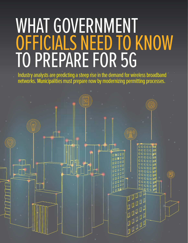# WHAT GOVERNMENT OFFICIALS NEED TO KNOW TO PREPARE FOR 5G

Industry analysts are predicting a steep rise in the demand for wireless broadband networks. Municipalities must prepare now by modernizing permitting processes.

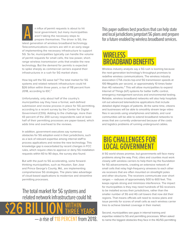n influx of permit requests is about to hit local government, but many municipalities aren't taking the necessary steps to prepare themselves. The driver is 5G, the latest generation of wireless broadband technology. Telecommunications carriers are still in an early stage of implementing the necessary infrastructure to support 5G. So far, municipalities typically can handle the volume of permit requests for small cells, the low power, shortrange wireless transmission units that enable the new technology. But the demand for permits is expected to spike sharply as commercial carriers expand their infrastructures in a rush for 5G market share.

How big will the 5G wave be? The total market for 5G systems and related network infrastructure could hit \$26 billion within three years, a rise of 118 percent from 2018, according to IDC. $<sup>1</sup>$ </sup>

Unfortunately, only about half of the country's municipalities say they have a formal, well-defined submission and review process in place for 5G permitting, according to a recent survey by the Center for Digital Government (CDG). Adding to the challenge, more than 43 percent of the 200 survey respondents said at least half of their permitting processes are paper-based, which adds time and overhead to the reviews.

In addition, government executives say numerous obstacles for 5G adoption exist in their jurisdictions, such as a lack of relevant expertise among internal staff to process applications and review the new technology. This knowledge gap is exacerbated by recent changes in FCC rules, which require cities to approve or deny 5G installation requests within 60 to 90 days, the survey also found.

But with the push to 5G accelerating, some forwardthinking municipalities, such as Houston, San Jose and Prince George's County, Md., are implementing comprehensive 5G strategies. The plans take advantage of cloud-based applications to modernize and streamline permitting processes.

#### The total market for 5G systems and related network infrastructure could hit



This paper outlines best practices that can help state and local jurisdictions jumpstart 5G plans and prepare for a future enabled by wireless broadband services.

### **WIRELESS BROADBAND BENEFIT**

Wireless industry analysts say a 5G rush is looming because the next-generation technology's throughput promises to redefine wireless communications. The wireless industry association CTIA clocks top-end 5G transmission speeds at 100 Megabits per second, or approximately 10 times faster than 4G networks.<sup>2</sup> This will allow municipalities to expand Internet of Things (IoT) systems for better traffic control, emergency management services and environmental testing. Reliable, wireless broadband networks will also help hospitals roll out advanced telemedicine applications that include detailed digital images of patients. At the same time, citizens and businesses will be able to smoothly stream large video files in seconds using smartphones and tablets, and rural communities will be able to extend broadband networks to areas that are currently underserved because of the costs and logistics problems of running underground cables.

#### BIG CHALLENGES FOR LOCAL GOVERNMENT

A 5G world shows promise, but governments will face many problems along the way. First, cities and counties must work closely with wireless carriers to help them lay the foundation for 5G advancements, creating an extensive network of small cells that relay high-frequency airwaves to each other via receivers that are often mounted on streetlight poles and other structures. The receivers communicate over short ranges — radiuses of approximately 500 to 600 feet. This keeps signals strong and minimizes interference. The impact for municipalities is they may need hundreds of 5G receivers to be installed across their jurisdictions, rather than the smaller number of 3G and 4G cell towers that now dot their regions. That means officials will need to review plans and issue permits for scores of small cells as each wireless carrier tries to achieve blanket coverage in their market.

Second, municipalities see gaps in internal training and expertise related to 5G and permitting processes. When asked to name the biggest obstacles they face in the 4G/5G permitting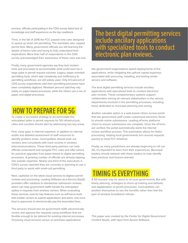process, officials participating in the CDG survey listed lack of knowledge and staff experience as the top roadblock.

Third, in the fall of 2018 the FCC passed new rules designed to speed up small cell permitting. The mandates also capped permit fees. Many government officials are still learning the details of these rules and trying to fully understand their implications. More than half of respondents in the CDG survey acknowledged their awareness of these rules was low.

Finally, many government agencies say they lack modern tools and processes to accommodate what could soon be a large spike in permit request volumes. Legacy, paper-oriented permitting tools, which add complexity and inefficiency to permitting workflows, are still widely used. Only 4.5 percent of CDG survey respondents said their permitting processes have been completely digitized. Nineteen percent said they rely solely on paper-based processes, while the others use a mix of paper and digital processes.

## HOW TO PREPARE FOR 5G

To create a successful strategy to accommodate the anticipated spike in permit requests for 5G infrastructure, cities and counties should start by addressing two key areas.

First, close gaps in internal expertise. In addition to internal audits and detailed assessment of staff resources to identify problem areas, municipalities should seek out vendors and consultants with track records in wireless telecommunications. These third-party partners can help officials understand and navigate FCC rules and offer advice for practical upgrades from paper-based to digital permitting processes. A growing number of officials are already tapping into outside expertise. Nearly one-third of the executives in CDG's survey reported they are currently or planning to use a third party to assist with small-cell permitting.

Next, capitalize on the latest cloud services to digitize permit reviews and processing. Leading Software-as-a-Service (SaaS) providers offer solutions to standardize submission reviews, which can help government staffs handle the anticipated spikes in requests from wireless carriers. When evaluating these services, look for key features such as self-serve tools that enable carriers to submit applications and plans, and once they're approved, to electronically pay the associated fees.

The services should also let government staffs electronically review and approve the requests using workflows that are flexible enough to be tailored for existing internal processes. Choosing cloud services versus on-premises applications

The best digital permitting services include ancillary applications with specialized tools to conduct electronic plan reviews.

lets government organizations speed deployments of the applications, while mitigating the upfront capital expenses associated with procuring, installing, and testing onsite servers and software.

The best digital permitting services include ancillary applications with specialized tools to conduct electronic plan reviews. These complementary systems support collaboration among all relevant stakeholders in the various departments involved in the permitting processes, including those dedicated to municipal planning and zoning.

Another valuable option is a web-based citizen access portal that lets government staff create customized electronic forms to smooth online submissions. Leading eForms platforms check to ensure submissions are complete. Once the eForms are verified, the portal automatically starts the internal review workflow process. This automation allows for faster processing, helping local governments turn around requests quickly to meet FCC timelines.

Finally, as many jurisdictions are already beginning to roll out 5G, it's important to learn from their experiences. Municipal leaders should network with these leaders to help identify best practices and lessons learned.

### TIMING IS EVERYTHING

A 5G tsunami may be about to hit local governments. But with timely planning, strategies to shore up training and skillsets, and digitalization of permit processes, municipalities can position themselves to see the benefits rather than feel the pain of wireless broadband rollouts.

This paper was created by the Center for Digital Government Content Studio, with input from Avolve Software.